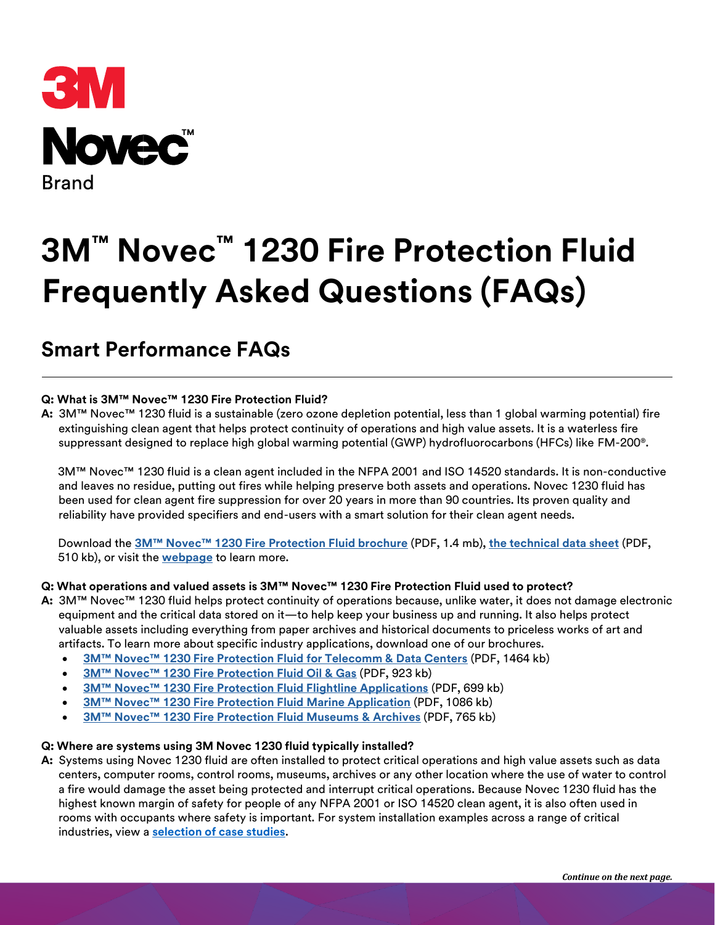

# **3M™ Novec™ 1230 Fire Protection Fluid Frequently Asked Questions (FAQs)**

# **Smart Performance FAQs**

# **Q: What is 3M™ Novec™ 1230 Fire Protection Fluid?**

**A:** 3M™ Novec™ 1230 fluid is a sustainable (zero ozone depletion potential, less than 1 global warming potential) fire extinguishing clean agent that helps protect continuity of operations and high value assets. It is a waterless fire suppressant designed to replace high global warming potential (GWP) hydrofluorocarbons (HFCs) like FM-200®.

3M™ Novec™ 1230 fluid is a clean agent included in the NFPA 2001 and ISO 14520 standards. It is non-conductive and leaves no residue, putting out fires while helping preserve both assets and operations. Novec 1230 fluid has been used for clean agent fire suppression for over 20 years in more than 90 countries. Its proven quality and reliability have provided specifiers and end-users with a smart solution for their clean agent needs.

Download the **[3M™ Novec™ 1230 Fire Protection Fluid brochure](http://multimedia.3m.com/mws/media/151826O/protect-what-matters-with-3m-novec-1230-fire-protection-fluid.pdf?fn=bro_nvc1230.pdf)** (PDF, 1.4 mb), **[the technical data sheet](http://multimedia.3m.com/mws/media/124688O/3mtm-novectm-1230-fire-protection-fluid.pdf?fn=prodinfo_novec1230.pdf)** (PDF, 510 kb), or visit the **[webpage](http://www.3m.com/3M/en_US/novec-us/applications/fire-suppression/)** to learn more.

#### **Q: What operations and valued assets is 3M™ Novec™ 1230 Fire Protection Fluid used to protect?**

- **A:** 3M™ Novec™ 1230 fluid helps protect continuity of operations because, unlike water, it does not damage electronic equipment and the critical data stored on it—to help keep your business up and running. It also helps protect valuable assets including everything from paper archives and historical documents to priceless works of art and artifacts. To learn more about specific industry applications, download one of our brochures.
	- **3M™ Novec™ [1230 Fire Protection Fluid for Telecomm & Data Centers](http://multimedia.3m.com/mws/media/728615O/3m-novec-1230-fire-protection-fluid-for-telecom-data-centers.pdf?fn=Novec1230Telcom_6004825.pdf)** (PDF, 1464 kb)
	- **[3M™ Novec™ 1230 Fire Protection Fluid Oil & Gas](http://multimedia.3m.com/mws/media/464439O/3mtm-novectm-1230-fire-protection-fluid-oil-gas.pdf?fn=5583Novec1230oilgasbroFinal.pdf)** (PDF, 923 kb)
	- **[3M™ Novec™ 1230 Fire Protection Fluid Flightline Applications](http://multimedia.3m.com/mws/media/1030081O/3m-novec-1230-fire-protection-fluid-flightline-applications.pdf)** [\(](http://multimedia.3m.com/mws/media/1030081O/3m-novec-1230-fire-protection-fluid-flightline-applications.pdf)PDF, 699 kb)
	- **3M™ Novec™ 1230 [Fire Protection Fluid Marine Application](http://multimedia.3m.com/mws/media/188474O/3m-novec-1230-fire-protection-fluid-marine-application.pdf?fn=apinfo_nvc1230_ma.pdf)** (PDF, 1086 kb)
	- **[3M™ Novec™ 1230 Fire Protection Fluid Museums](http://multimedia.3m.com/mws/media/569416O/3mtm-novectm-1230-fire-protection-fluid-museums-archives.pdf?fn=Novec1230Museum_6003892.pdf) & Archives** (PDF, 765 kb)

#### **Q: Where are systems using 3M Novec 1230 fluid typically installed?**

**A:** Systems using Novec 1230 fluid are often installed to protect critical operations and high value assets such as data centers, computer rooms, control rooms, museums, archives or any other location where the use of water to control a fire would damage the asset being protected and interrupt critical operations. Because Novec 1230 fluid has the highest known margin of safety for people of any NFPA 2001 or ISO 14520 clean agent, it is also often used in rooms with occupants where safety is important. For system installation examples across a range of critical industries, view a **[selection of case studies](https://www.3m.com/3M/en_US/novec-us/applications/fire-suppression/case-studies/)**.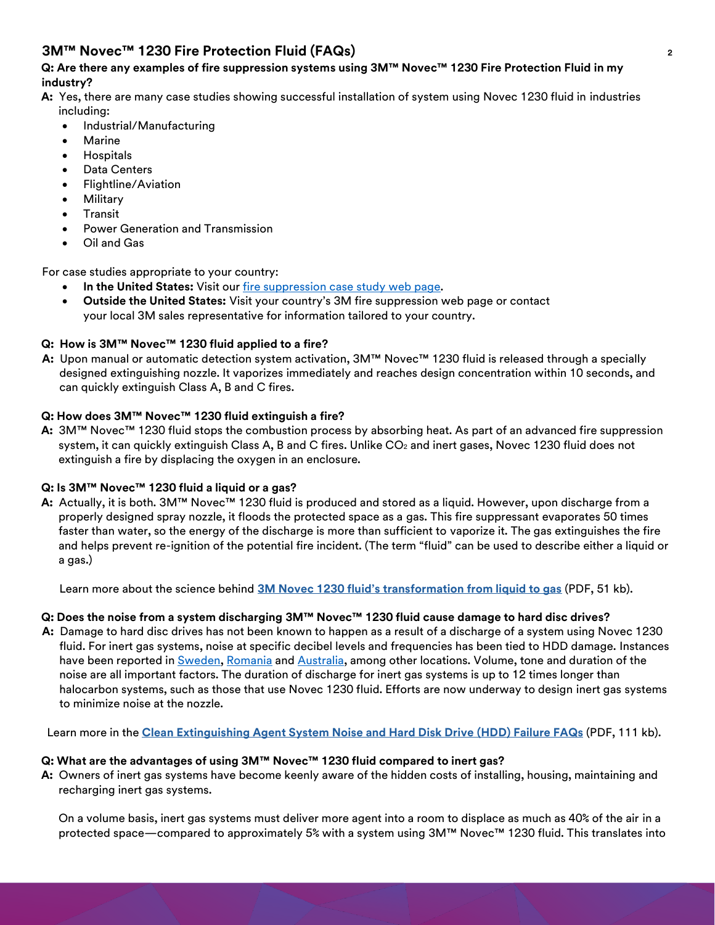# **Q: Are there any examples of fire suppression systems using 3M™ Novec™ 1230 Fire Protection Fluid in my industry?**

- **A:** Yes, there are many case studies showing successful installation of system using Novec 1230 fluid in industries including:
	- Industrial/Manufacturing
	- Marine
	- Hospitals
	- Data Centers
	- Flightline/Aviation
	- **Military**
	- **Transit**
	- Power Generation and Transmission
	- Oil and Gas

For case studies appropriate to your country:

- **In the United States:** Visit our [fire suppression case study web page.](https://www.3m.com/3M/en_US/novec-us/applications/fire-suppression/case-studies/)
- **Outside the United States:** Visit your country's 3M fire suppression web page or contact your local 3M sales representative for information tailored to your country.

# **Q: How is 3M™ Novec™ 1230 fluid applied to a fire?**

**A:** Upon manual or automatic detection system activation, 3M™ Novec™ 1230 fluid is released through a specially designed extinguishing nozzle. It vaporizes immediately and reaches design concentration within 10 seconds, and can quickly extinguish Class A, B and C fires.

# **Q: How does 3M™ Novec™ 1230 fluid extinguish a fire?**

**A:** 3M™ Novec™ 1230 fluid stops the combustion process by absorbing heat. As part of an advanced fire suppression system, it can quickly extinguish Class A, B and C fires. Unlike  $CO<sub>2</sub>$  and inert gases, Novec 1230 fluid does not extinguish a fire by displacing the oxygen in an enclosure.

# **Q: Is 3M™ Novec™ 1230 fluid a liquid or a gas?**

**A:** Actually, it is both. 3M™ Novec™ 1230 fluid is produced and stored as a liquid. However, upon discharge from a properly designed spray nozzle, it floods the protected space as a gas. This fire suppressant evaporates 50 times faster than water, so the energy of the discharge is more than sufficient to vaporize it. The gas extinguishes the fire and helps prevent re-ignition of the potential fire incident. (The term "fluid" can be used to describe either a liquid or a gas.)

Learn more about the science behind **3M Novec 1230 fluid's [transformation from liquid to gas](https://multimedia.3m.com/mws/media/124688O/3m-novec-1230-fire-protection-fluid.pdf)** (PDF, 51 kb).

# **Q: Does the noise from a system discharging 3M™ Novec™ 1230 fluid cause damage to hard disc drives?**

**A:** Damage to hard disc drives has not been known to happen as a result of a discharge of a system using Novec 1230 fluid. For inert gas systems, noise at specific decibel levels and frequencies has been tied to HDD damage. Instances have been reported in [Sweden,](https://qz.com/1260409/a-loud-noise-damaged-nasdaqs-servers-stopping-trading-in-northern-europe-and-the-baltics/) [Romania](https://www.vice.com/en/article/8q8dqg/a-loud-sound-just-shut-down-a-banks-data-center-for-10-hours) and [Australia,](https://www.abc.net.au/radionational/programs/greatmomentsinscience/loud-sounds-can-kill-computer-hard-drives/7938388) among other locations. Volume, tone and duration of the noise are all important factors. The duration of discharge for inert gas systems is up to 12 times longer than halocarbon systems, such as those that use Novec 1230 fluid. Efforts are now underway to design inert gas systems to minimize noise at the nozzle.

Learn more in the **[Clean Extinguishing Agent System Noise and Hard Disk Drive](http://multimedia.3m.com/mws/media/1180481O/clean-agent-system-noise-hard-disk-drive-hdd-failure-faqs.pdf) (HDD) Failure FAQ[s](http://multimedia.3m.com/mws/media/1180481O/clean-agent-system-noise-hard-disk-drive-hdd-failure-faqs.pdf)** (PDF, 111 kb).

# **Q: What are the advantages of using 3M™ Novec™ 1230 fluid compared to inert gas?**

**A:** Owners of inert gas systems have become keenly aware of the hidden costs of installing, housing, maintaining and recharging inert gas systems.

On a volume basis, inert gas systems must deliver more agent into a room to displace as much as 40% of the air in a protected space—compared to approximately 5% with a system using 3M™ Novec™ 1230 fluid. This translates into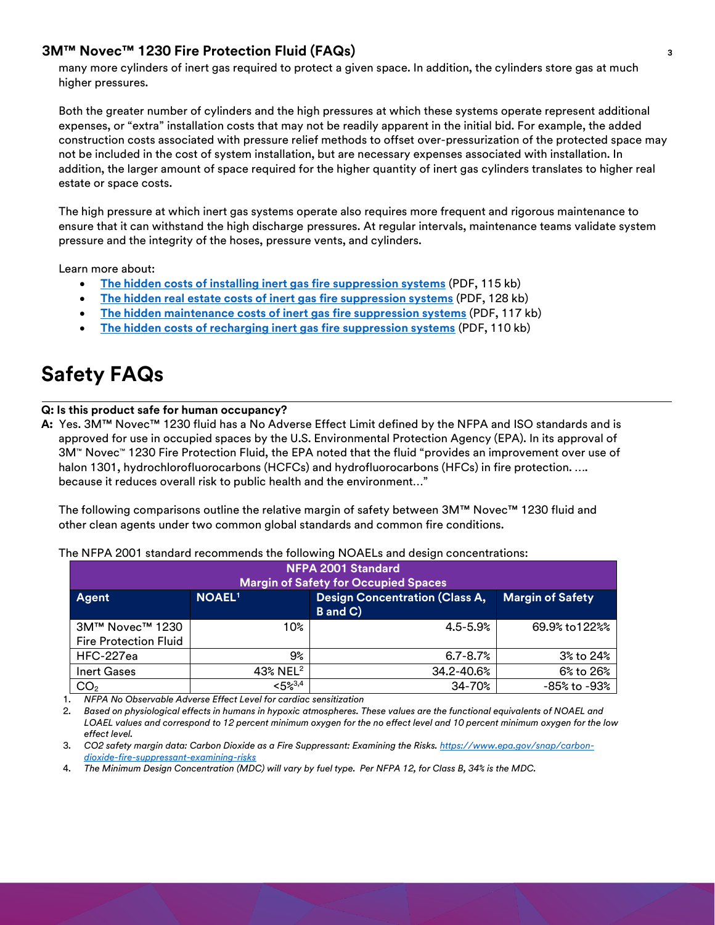many more cylinders of inert gas required to protect a given space. In addition, the cylinders store gas at much higher pressures.

Both the greater number of cylinders and the high pressures at which these systems operate represent additional expenses, or "extra" installation costs that may not be readily apparent in the initial bid. For example, the added construction costs associated with pressure relief methods to offset over-pressurization of the protected space may not be included in the cost of system installation, but are necessary expenses associated with installation. In addition, the larger amount of space required for the higher quantity of inert gas cylinders translates to higher real estate or space costs.

The high pressure at which inert gas systems operate also requires more frequent and rigorous maintenance to ensure that it can withstand the high discharge pressures. At regular intervals, maintenance teams validate system pressure and the integrity of the hoses, pressure vents, and cylinders.

Learn more about:

- **[The hidden costs of installing inert gas fire suppression systems](https://multimedia.3m.com/mws/media/1108604O/hidden-costs-of-installing-inert-gas-fire-suppression-systems.pdf)** (PDF, 115 kb)
- **[The hidden real estate costs of inert gas fire suppression systems](https://multimedia.3m.com/mws/media/1108602O/hidden-real-estate-costs-of-inert-gas-fire-suppression-systems.pdf)** (PDF, 128 kb)
- **[The hidden maintenance costs of inert gas fire suppression systems](https://multimedia.3m.com/mws/media/1108605O/hidden-maintenance-costs-of-inert-gas-fire-suppression-systems.pdf)** (PDF, 117 kb)
- **[The hidden costs of recharging inert gas fire suppression systems](https://multimedia.3m.com/mws/media/1108603O/hidden-costs-of-recharging-inert-gas-fire-suppression-systems.pdf)** (PDF, 110 kb)

# **Safety FAQs**

#### **Q: Is this product safe for human occupancy?**

**A:** Yes. 3M™ Novec™ 1230 fluid has a No Adverse Effect Limit defined by the NFPA and ISO standards and is approved for use in occupied spaces by the U.S. Environmental Protection Agency (EPA). In its approval of 3M™ Novec™ 1230 Fire Protection Fluid, the EPA noted that the fluid "provides an improvement over use of halon 1301, hydrochlorofluorocarbons (HCFCs) and hydrofluorocarbons (HFCs) in fire protection. .... because it reduces overall risk to public health and the environment…"

The following comparisons outline the relative margin of safety between 3M™ Novec™ 1230 fluid and other clean agents under two common global standards and common fire conditions.

| NFPA 2001 Standard<br><b>Margin of Safety for Occupied Spaces</b> |                      |                                                   |                         |  |
|-------------------------------------------------------------------|----------------------|---------------------------------------------------|-------------------------|--|
| Agent                                                             | <b>NOAEL1</b>        | <b>Design Concentration (Class A,</b><br>B and C) | <b>Margin of Safety</b> |  |
| 3M™ Novec™ 1230                                                   | 10%                  | $4.5 - 5.9%$                                      | 69.9% to 122%%          |  |
| <b>Fire Protection Fluid</b>                                      |                      |                                                   |                         |  |
| HFC-227ea                                                         | 9%                   | $6.7 - 8.7%$                                      | 3% to 24%               |  |
| <b>Inert Gases</b>                                                | 43% NEL <sup>2</sup> | 34.2-40.6%                                        | 6% to 26%               |  |
| CO <sub>2</sub>                                                   | 52,3,4               | $34 - 70%$                                        | -85% to -93%            |  |

The NFPA 2001 standard recommends the following NOAELs and design concentrations:

1. *NFPA No Observable Adverse Effect Level for cardiac sensitization*

2. *Based on physiological effects in humans in hypoxic atmospheres. These values are the functional equivalents of NOAEL and LOAEL values and correspond to 12 percent minimum oxygen for the no effect level and 10 percent minimum oxygen for the low effect level.*

3. *CO2 safety margin data: Carbon Dioxide as a Fire Suppressant: Examining the Risks[. https://www.epa.gov/snap/carbon](https://www.epa.gov/snap/carbon-dioxide-fire-suppressant-examining-risks)[dioxide-fire-suppressant-examining-risks](https://www.epa.gov/snap/carbon-dioxide-fire-suppressant-examining-risks)*

4. *The Minimum Design Concentration (MDC) will vary by fuel type. Per NFPA 12, for Class B, 34% is the MDC.*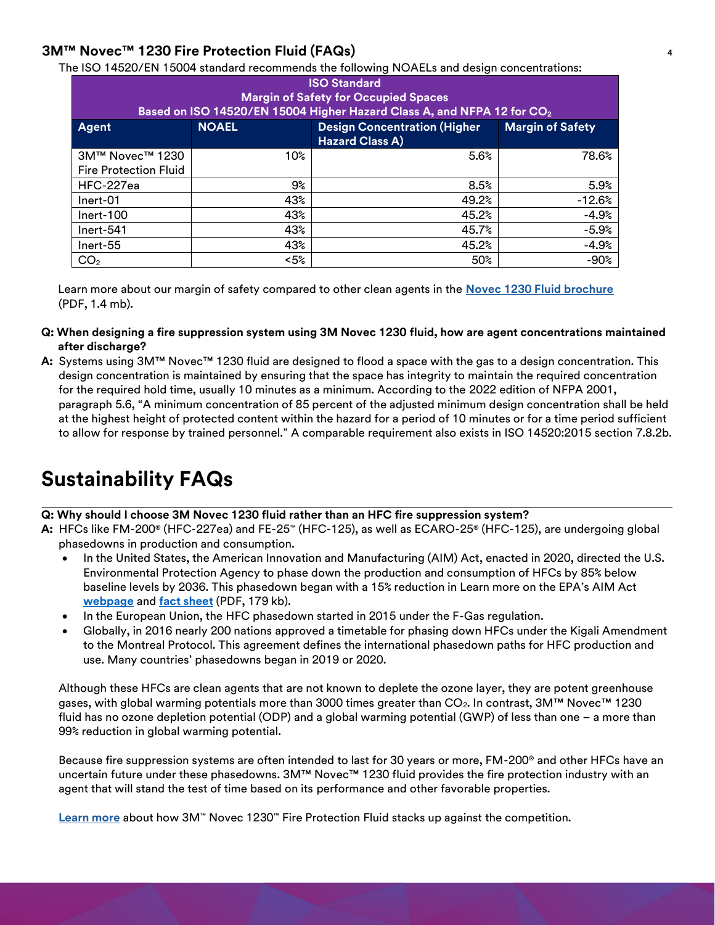The ISO 14520/EN 15004 standard recommends the following NOAELs and design concentrations:

| <b>ISO Standard</b><br><b>Margin of Safety for Occupied Spaces</b><br>Based on ISO 14520/EN 15004 Higher Hazard Class A, and NFPA 12 for CO <sub>2</sub> |              |                                                               |                         |  |
|----------------------------------------------------------------------------------------------------------------------------------------------------------|--------------|---------------------------------------------------------------|-------------------------|--|
| Agent                                                                                                                                                    | <b>NOAEL</b> | <b>Design Concentration (Higher</b><br><b>Hazard Class A)</b> | <b>Margin of Safety</b> |  |
| 3M™ Novec™ 1230                                                                                                                                          | 10%          | 5.6%                                                          | 78.6%                   |  |
| <b>Fire Protection Fluid</b>                                                                                                                             |              |                                                               |                         |  |
| HFC-227ea                                                                                                                                                | 9%           | 8.5%                                                          | 5.9%                    |  |
| Inert-01                                                                                                                                                 | 43%          | 49.2%                                                         | $-12.6%$                |  |
| $Inert-100$                                                                                                                                              | 43%          | 45.2%                                                         | $-4.9%$                 |  |
| Inert-541                                                                                                                                                | 43%          | 45.7%                                                         | $-5.9%$                 |  |
| Inert-55                                                                                                                                                 | 43%          | 45.2%                                                         | $-4.9%$                 |  |
| CO <sub>2</sub>                                                                                                                                          | $< 5\%$      | 50%                                                           | $-90%$                  |  |

Learn more about our margin of safety compared to other clean agents in the **[Novec 1230 Fluid brochure](http://multimedia.3m.com/mws/media/151826O/protect-what-matters-with-3m-novec-1230-fire-protection-fluid.pdf?fn=bro_nvc1230.pdf)** (PDF, 1.4 mb).

- **Q: When designing a fire suppression system using 3M Novec 1230 fluid, how are agent concentrations maintained after discharge?**
- **A:** Systems using 3M™ Novec™ 1230 fluid are designed to flood a space with the gas to a design concentration. This design concentration is maintained by ensuring that the space has integrity to maintain the required concentration for the required hold time, usually 10 minutes as a minimum. According to the 2022 edition of NFPA 2001, paragraph 5.6, "A minimum concentration of 85 percent of the adjusted minimum design concentration shall be held at the highest height of protected content within the hazard for a period of 10 minutes or for a time period sufficient to allow for response by trained personnel." A comparable requirement also exists in ISO 14520:2015 section 7.8.2b.

# **Sustainability FAQs**

#### **Q: Why should I choose 3M Novec 1230 fluid rather than an HFC fire suppression system?**

**A:** HFCs like FM-200® (HFC-227ea) and FE-25™ (HFC-125), as well as ECARO-25® (HFC-125), are undergoing global phasedowns in production and consumption.

- In the United States, the American Innovation and Manufacturing (AIM) Act, enacted in 2020, directed the U.S. Environmental Protection Agency to phase down the production and consumption of HFCs by 85% below baseline levels by 2036. This phasedown began with a 15% reduction in Learn more on the EPA's AIM Act **[webpage](https://www.epa.gov/climate-hfcs-reduction)** and **[fact sheet](https://www.epa.gov/system/files/documents/2021-09/hfc-allocation-rule-nprm-fact-sheet-finalrule.pdf)** (PDF, 179 kb).
- In the European Union, the HFC phasedown started in 2015 under the F-Gas regulation.
- Globally, in 2016 nearly 200 nations approved a timetable for phasing down HFCs under the Kigali Amendment to the Montreal Protocol. This agreement defines the international phasedown paths for HFC production and use. Many countries' phasedowns began in 2019 or 2020.

Although these HFCs are clean agents that are not known to deplete the ozone layer, they are potent greenhouse gases, with global warming potentials more than 3000 times greater than  $CO<sub>2</sub>$ . In contrast, 3M<sup>TM</sup> Novec<sup>TM</sup> 1230 fluid has no ozone depletion potential (ODP) and a global warming potential (GWP) of less than one – a more than 99% reduction in global warming potential.

Because fire suppression systems are often intended to last for 30 years or more, FM-200® and other HFCs have an uncertain future under these phasedowns. 3M™ Novec™ 1230 fluid provides the fire protection industry with an agent that will stand the test of time based on its performance and other favorable properties.

**[Learn more](http://www.3m.com/3M/en_US/novec-us/applications/fire-suppression/vs-competition)** [a](http://www.3m.com/3M/en_US/novec-us/applications/fire-suppression/vs-competition)bout how 3M™ Novec 1230™ Fire Protection Fluid stacks up against the competition.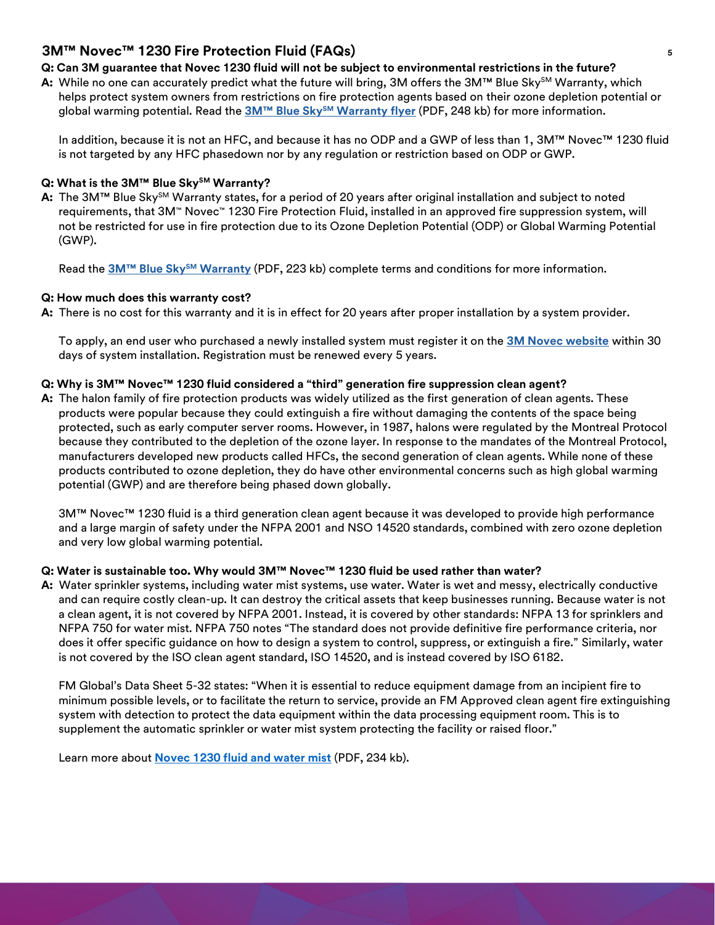### **Q: Can 3M guarantee that Novec 1230 fluid will not be subject to environmental restrictions in the future?**

**A:** While no one can accurately predict what the future will bring, 3M offers the 3M™ Blue Sky<sup>sM</sup> Warranty, which helps protect system owners from restrictions on fire protection agents based on their ozone depletion potential or global warming potential. Read the **3M™ Blue SkySM [Warranty flyer](http://multimedia.3m.com/mws/media/432207O/3mtm-novectm-1230-fire-protection-fluid-blue-skysm-warr.pdf)** (PDF, 248 kb) for more information.

In addition, because it is not an HFC, and because it has no ODP and a GWP of less than 1, 3M™ Novec™ 1230 fluid is not targeted by any HFC phasedown nor by any regulation or restriction based on ODP or GWP.

### **Q: What is the 3M™ Blue SkySM Warranty?**

**A:** The 3M™ Blue Sky<sup>sM</sup> Warranty states, for a period of 20 years after original installation and subject to noted requirements, that 3M™ Novec™ 1230 Fire Protection Fluid, installed in an approved fire suppression system, will not be restricted for use in fire protection due to its Ozone Depletion Potential (ODP) or Global Warming Potential (GWP).

Read the **3M™ Blue SkySM [Warranty](http://multimedia.3m.com/mws/media/663912O/3mtm-blue-skysm-warranty-terms-conditions.pdf)** (PDF, 223 kb) complete terms and conditions for more information.

## **Q: How much does this warranty cost?**

**A:** There is no cost for this warranty and it is in effect for 20 years after proper installation by a system provider.

To apply, an end user who purchased a newly installed system must register it on the **[3M Novec website](https://www.3m.com/3M/en_US/novec-us/support/blue-sky-warranty/)** within 30 days of system installation. Registration must be renewed every 5 years.

## **Q: Why is 3M™ Novec™ 1230 fluid considered a "third" generation fire suppression clean agent?**

**A:** The halon family of fire protection products was widely utilized as the first generation of clean agents. These products were popular because they could extinguish a fire without damaging the contents of the space being protected, such as early computer server rooms. However, in 1987, halons were regulated by the Montreal Protocol because they contributed to the depletion of the ozone layer. In response to the mandates of the Montreal Protocol, manufacturers developed new products called HFCs, the second generation of clean agents. While none of these products contributed to ozone depletion, they do have other environmental concerns such as high global warming potential (GWP) and are therefore being phased down globally.

3M™ Novec™ 1230 fluid is a third generation clean agent because it was developed to provide high performance and a large margin of safety under the NFPA 2001 and NSO 14520 standards, combined with zero ozone depletion and very low global warming potential.

# **Q: Water is sustainable too. Why would 3M™ Novec™ 1230 fluid be used rather than water?**

**A:** Water sprinkler systems, including water mist systems, use water. Water is wet and messy, electrically conductive and can require costly clean-up. It can destroy the critical assets that keep businesses running. Because water is not a clean agent, it is not covered by NFPA 2001. Instead, it is covered by other standards: NFPA 13 for sprinklers and NFPA 750 for water mist. NFPA 750 notes "The standard does not provide definitive fire performance criteria, nor does it offer specific guidance on how to design a system to control, suppress, or extinguish a fire." Similarly, water is not covered by the ISO clean agent standard, ISO 14520, and is instead covered by ISO 6182.

FM Global's Data Sheet 5-32 states: "When it is essential to reduce equipment damage from an incipient fire to minimum possible levels, or to facilitate the return to service, provide an FM Approved clean agent fire extinguishing system with detection to protect the data equipment within the data processing equipment room. This is to supplement the automatic sprinkler or water mist system protecting the facility or raised floor."

Learn more about **[Novec 1230 fluid and water mist](https://multimedia.3m.com/mws/media/1227180O/3m-novec-1230-fire-protection-fluid-vs-water-mist-fact-sheet.pdf)** (PDF, 234 kb).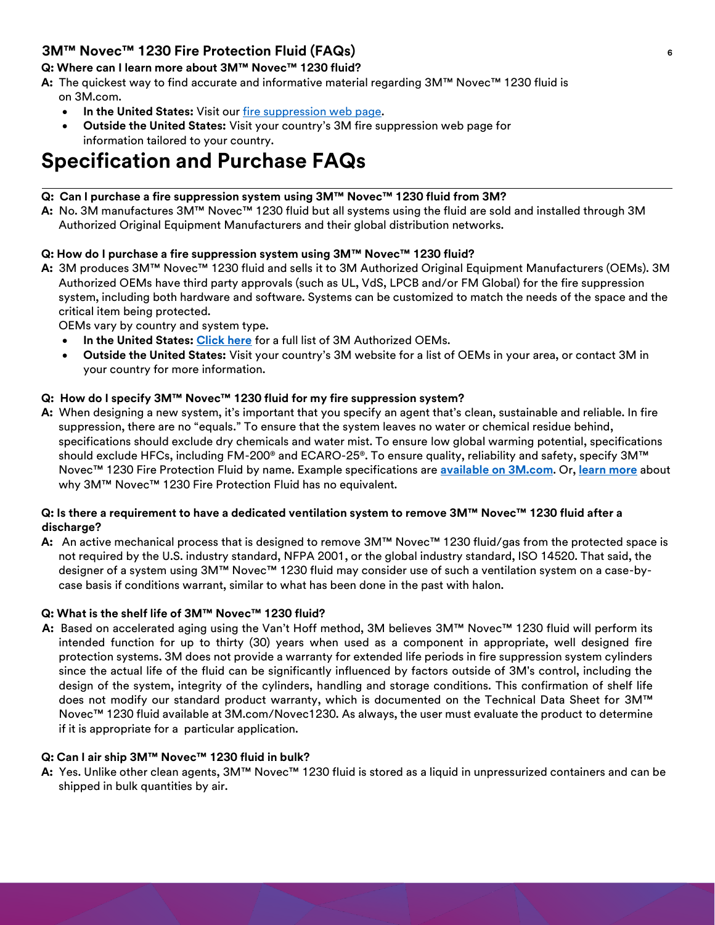# **Q: Where can I learn more about 3M™ Novec™ 1230 fluid?**

- **A:** The quickest way to find accurate and informative material regarding 3M™ Novec™ 1230 fluid is on 3M.com.
	- In the United States: Visit our [fire suppression web page.](http://www.3m.com/3M/en_US/novec-us/applications/fire-suppression/)
	- **Outside the United States:** Visit your country's 3M fire suppression web page for information tailored to your country.

# **Specification and Purchase FAQs**

# **Q: Can I purchase a fire suppression system using 3M™ Novec™ 1230 fluid from 3M?**

**A:** No. 3M manufactures 3M™ Novec™ 1230 fluid but all systems using the fluid are sold and installed through 3M Authorized Original Equipment Manufacturers and their global distribution networks.

# **Q: How do I purchase a fire suppression system using 3M™ Novec™ 1230 fluid?**

**A:** 3M produces 3M™ Novec™ 1230 fluid and sells it to 3M Authorized Original Equipment Manufacturers (OEMs). 3M Authorized OEMs have third party approvals (such as UL, VdS, LPCB and/or FM Global) for the fire suppression system, including both hardware and software. Systems can be customized to match the needs of the space and the critical item being protected.

OEMs vary by country and system type.

- **In the United States: [Click here](https://www.3m.com/3M/en_US/novec-us/applications/fire-suppression/novec-1230-specification/#findanoem)** for a full list of 3M Authorized OEMs.
- **Outside the United States:** Visit your country's 3M website for a list of OEMs in your area, or contact 3M in your country for more information.

## **Q: How do I specify 3M™ Novec™ 1230 fluid for my fire suppression system?**

**A:** When designing a new system, it's important that you specify an agent that's clean, sustainable and reliable. In fire suppression, there are no "equals." To ensure that the system leaves no water or chemical residue behind, specifications should exclude dry chemicals and water mist. To ensure low global warming potential, specifications should exclude HFCs, including FM-200® and ECARO-25®. To ensure quality, reliability and safety, specify 3M™ Novec™ 1230 Fire Protection Fluid by name. Example specifications are **[available on 3M.com](https://www.3m.com/3M/en_US/novec-us/applications/fire-suppression/novec-1230-specification/)**. Or, **[learn more](https://www.3m.com/3M/en_US/novec-us/resources/hot-topics/full-story/?storyid=464a1909-bb58-423f-be44-728ba65e57dd)** about why 3M™ Novec™ 1230 Fire Protection Fluid has no equivalent.

## **Q: Is there a requirement to have a dedicated ventilation system to remove 3M™ Novec™ 1230 fluid after a discharge?**

**A:** An active mechanical process that is designed to remove 3M™ Novec™ 1230 fluid/gas from the protected space is not required by the U.S. industry standard, NFPA 2001, or the global industry standard, ISO 14520. That said, the designer of a system using 3M™ Novec™ 1230 fluid may consider use of such a ventilation system on a case-bycase basis if conditions warrant, similar to what has been done in the past with halon.

#### **Q: What is the shelf life of 3M™ Novec™ 1230 fluid?**

**A:** Based on accelerated aging using the Van't Hoff method, 3M believes 3M™ Novec™ 1230 fluid will perform its intended function for up to thirty (30) years when used as a component in appropriate, well designed fire protection systems. 3M does not provide a warranty for extended life periods in fire suppression system cylinders since the actual life of the fluid can be significantly influenced by factors outside of 3M's control, including the design of the system, integrity of the cylinders, handling and storage conditions. This confirmation of shelf life does not modify our standard product warranty, which is documented on the Technical Data Sheet for 3M™ Novec™ 1230 fluid available at 3M.com/Novec1230. As always, the user must evaluate the product to determine if it is appropriate for a particular application.

# **Q: Can I air ship 3M™ Novec™ 1230 fluid in bulk?**

**A:** Yes. Unlike other clean agents, 3M™ Novec™ 1230 fluid is stored as a liquid in unpressurized containers and can be shipped in bulk quantities by air.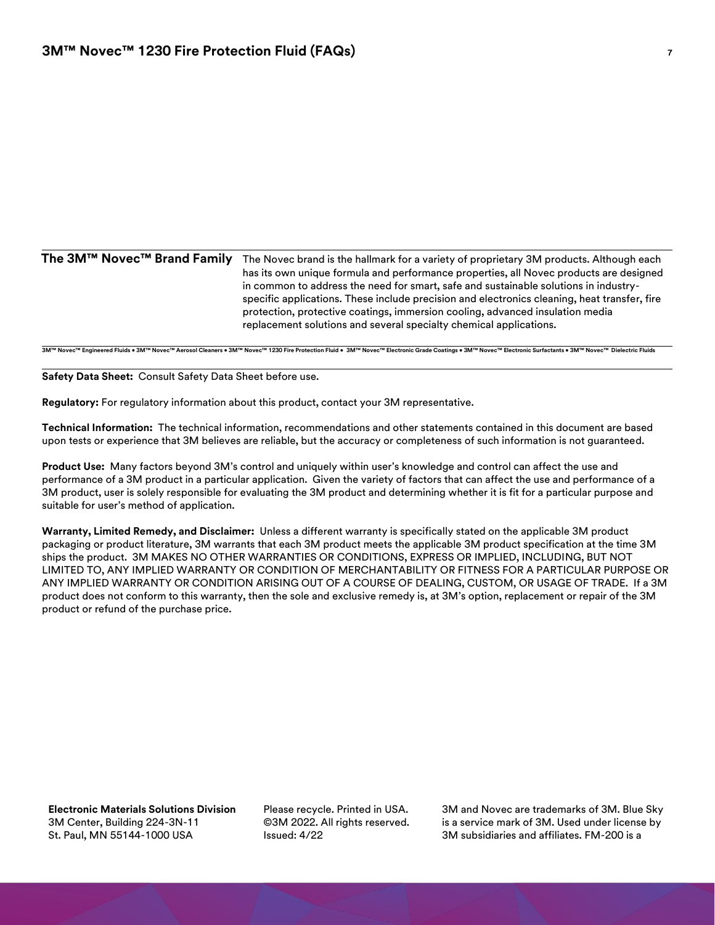| The 3M™ Novec™ Brand Family | The Novec brand is the hallmark for a variety of proprietary 3M products. Although each<br>has its own unique formula and performance properties, all Novec products are designed<br>in common to address the need for smart, safe and sustainable solutions in industry-<br>specific applications. These include precision and electronics cleaning, heat transfer, fire<br>protection, protective coatings, immersion cooling, advanced insulation media |
|-----------------------------|------------------------------------------------------------------------------------------------------------------------------------------------------------------------------------------------------------------------------------------------------------------------------------------------------------------------------------------------------------------------------------------------------------------------------------------------------------|
|                             | replacement solutions and several specialty chemical applications.                                                                                                                                                                                                                                                                                                                                                                                         |

**3M™ Novec™ Engineered Fluids • 3M™ Novec™ Aerosol Cleaners • 3M™ Novec™ 1230 Fire Protection Fluid • 3M™ Novec™ Electronic Grade Coatings • 3M™ Novec™ Electronic Surfactants • 3M™ Novec™ Dielectric Fluids**

**Safety Data Sheet:** Consult Safety Data Sheet before use.

**Regulatory:** For regulatory information about this product, contact your 3M representative.

**Technical Information:** The technical information, recommendations and other statements contained in this document are based upon tests or experience that 3M believes are reliable, but the accuracy or completeness of such information is not guaranteed.

**Product Use:** Many factors beyond 3M's control and uniquely within user's knowledge and control can affect the use and performance of a 3M product in a particular application. Given the variety of factors that can affect the use and performance of a 3M product, user is solely responsible for evaluating the 3M product and determining whether it is fit for a particular purpose and suitable for user's method of application.

**Warranty, Limited Remedy, and Disclaimer:** Unless a different warranty is specifically stated on the applicable 3M product packaging or product literature, 3M warrants that each 3M product meets the applicable 3M product specification at the time 3M ships the product. 3M MAKES NO OTHER WARRANTIES OR CONDITIONS, EXPRESS OR IMPLIED, INCLUDING, BUT NOT LIMITED TO, ANY IMPLIED WARRANTY OR CONDITION OF MERCHANTABILITY OR FITNESS FOR A PARTICULAR PURPOSE OR ANY IMPLIED WARRANTY OR CONDITION ARISING OUT OF A COURSE OF DEALING, CUSTOM, OR USAGE OF TRADE. If a 3M product does not conform to this warranty, then the sole and exclusive remedy is, at 3M's option, replacement or repair of the 3M product or refund of the purchase price.

**Electronic Materials Solutions Division** 3M Center, Building 224-3N-11 St. Paul, MN 55144-1000 USA

Please recycle. Printed in USA. ©3M 2022. All rights reserved. Issued: 4/22

3M and Novec are trademarks of 3M. Blue Sky is a service mark of 3M. Used under license by 3M subsidiaries and affiliates. FM-200 is a